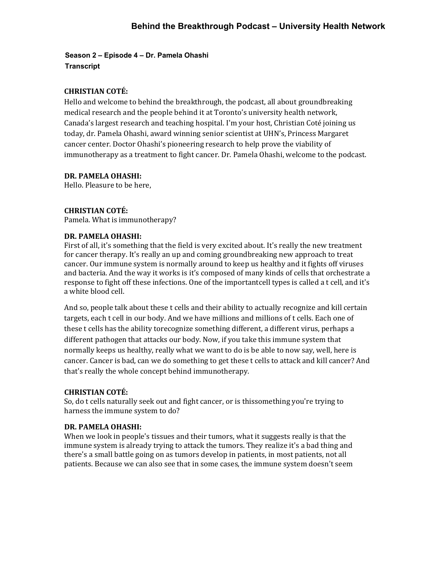**Season 2 – Episode 4 – Dr. Pamela Ohashi Transcript** 

# **CHRISTIAN COTÉ:**

Hello and welcome to behind the breakthrough, the podcast, all about groundbreaking medical research and the people behind it at Toronto's university health network, Canada's largest research and teaching hospital. I'm your host, Christian Coté joining us today, dr. Pamela Ohashi, award winning senior scientist at UHN's, Princess Margaret cancer center. Doctor Ohashi's pioneering research to help prove the viability of immunotherapy as a treatment to fight cancer. Dr. Pamela Ohashi, welcome to the podcast.

## **DR. PAMELA OHASHI:**

Hello. Pleasure to be here,

## **CHRISTIAN COTÉ:**

Pamela. What is immunotherapy?

## **DR. PAMELA OHASHI:**

First of all, it's something that the field is very excited about. It's really the new treatment for cancer therapy. It's really an up and coming groundbreaking new approach to treat cancer. Our immune system is normally around to keep us healthy and it fights off viruses and bacteria. And the way it works is it's composed of many kinds of cells that orchestrate a response to fight off these infections. One of the importantcell types is called a t cell, and it's a white blood cell.

And so, people talk about these t cells and their ability to actually recognize and kill certain targets, each t cell in our body. And we have millions and millions of t cells. Each one of these t cells has the ability torecognize something different, a different virus, perhaps a different pathogen that attacks our body. Now, if you take this immune system that normally keeps us healthy, really what we want to do is be able to now say, well, here is cancer. Cancer is bad, can we do something to get these t cells to attack and kill cancer? And that's really the whole concept behind immunotherapy.

#### **CHRISTIAN COTÉ:**

So, do t cells naturally seek out and fight cancer, or is thissomething you're trying to harness the immune system to do?

#### **DR. PAMELA OHASHI:**

When we look in people's tissues and their tumors, what it suggests really is that the immune system is already trying to attack the tumors. They realize it's a bad thing and there's a small battle going on as tumors develop in patients, in most patients, not all patients. Because we can also see that in some cases, the immune system doesn't seem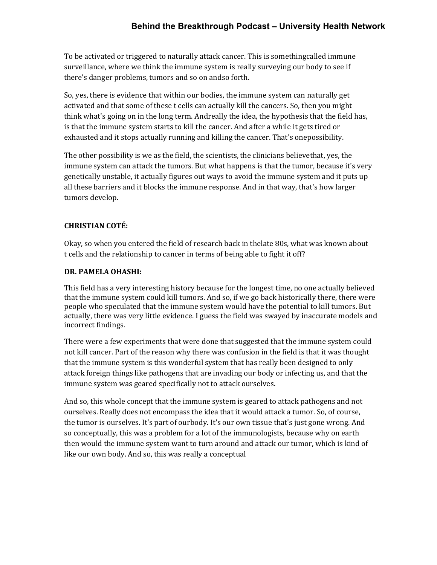To be activated or triggered to naturally attack cancer. This is somethingcalled immune surveillance, where we think the immune system is really surveying our body to see if there's danger problems, tumors and so on andso forth.

So, yes, there is evidence that within our bodies, the immune system can naturally get activated and that some of these t cells can actually kill the cancers. So, then you might think what's going on in the long term. Andreally the idea, the hypothesis that the field has, is that the immune system starts to kill the cancer. And after a while it gets tired or exhausted and it stops actually running and killing the cancer. That's onepossibility.

The other possibility is we as the field, the scientists, the clinicians believethat, yes, the immune system can attack the tumors. But what happens is that the tumor, because it's very genetically unstable, it actually figures out ways to avoid the immune system and it puts up all these barriers and it blocks the immune response. And in that way, that's how larger tumors develop.

# **CHRISTIAN COTÉ:**

Okay, so when you entered the field of research back in thelate 80s, what was known about t cells and the relationship to cancer in terms of being able to fight it off?

# **DR. PAMELA OHASHI:**

This field has a very interesting history because for the longest time, no one actually believed that the immune system could kill tumors. And so, if we go back historically there, there were people who speculated that the immune system would have the potential to kill tumors. But actually, there was very little evidence. I guess the field was swayed by inaccurate models and incorrect findings.

There were a few experiments that were done that suggested that the immune system could not kill cancer. Part of the reason why there was confusion in the field is that it was thought that the immune system is this wonderful system that has really been designed to only attack foreign things like pathogens that are invading our body or infecting us, and that the immune system was geared specifically not to attack ourselves.

And so, this whole concept that the immune system is geared to attack pathogens and not ourselves. Really does not encompass the idea that it would attack a tumor. So, of course, the tumor is ourselves. It's part of ourbody. It's our own tissue that's just gone wrong. And so conceptually, this was a problem for a lot of the immunologists, because why on earth then would the immune system want to turn around and attack our tumor, which is kind of like our own body. And so, this was really a conceptual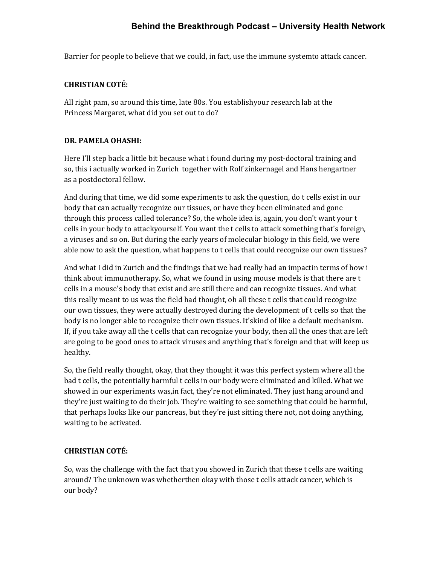Barrier for people to believe that we could, in fact, use the immune systemto attack cancer.

# **CHRISTIAN COTÉ:**

All right pam, so around this time, late 80s. You establishyour research lab at the Princess Margaret, what did you set out to do?

# **DR. PAMELA OHASHI:**

Here I'll step back a little bit because what i found during my post-doctoral training and so, this i actually worked in Zurich together with Rolf zinkernagel and Hans hengartner as a postdoctoral fellow.

And during that time, we did some experiments to ask the question, do t cells exist in our body that can actually recognize our tissues, or have they been eliminated and gone through this process called tolerance? So, the whole idea is, again, you don't want your t cells in your body to attackyourself. You want the t cells to attack something that's foreign, a viruses and so on. But during the early years of molecular biology in this field, we were able now to ask the question, what happens to t cells that could recognize our own tissues?

And what I did in Zurich and the findings that we had really had an impactin terms of how i think about immunotherapy. So, what we found in using mouse models is that there are t cells in a mouse's body that exist and are still there and can recognize tissues. And what this really meant to us was the field had thought, oh all these t cells that could recognize our own tissues, they were actually destroyed during the development of t cells so that the body is no longer able to recognize their own tissues. It'skind of like a default mechanism. If, if you take away all the t cells that can recognize your body, then all the ones that are left are going to be good ones to attack viruses and anything that's foreign and that will keep us healthy.

So, the field really thought, okay, that they thought it was this perfect system where all the bad t cells, the potentially harmful t cells in our body were eliminated and killed. What we showed in our experiments was,in fact, they're not eliminated. They just hang around and they're just waiting to do their job. They're waiting to see something that could be harmful, that perhaps looks like our pancreas, but they're just sitting there not, not doing anything, waiting to be activated.

# **CHRISTIAN COTÉ:**

So, was the challenge with the fact that you showed in Zurich that these t cells are waiting around? The unknown was whetherthen okay with those t cells attack cancer, which is our body?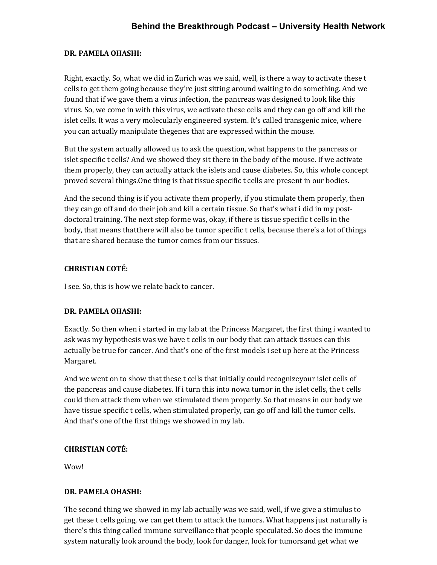# **DR. PAMELA OHASHI:**

Right, exactly. So, what we did in Zurich was we said, well, is there a way to activate these t cells to get them going because they're just sitting around waiting to do something. And we found that if we gave them a virus infection, the pancreas was designed to look like this virus. So, we come in with this virus, we activate these cells and they can go off and kill the islet cells. It was a very molecularly engineered system. It's called transgenic mice, where you can actually manipulate thegenes that are expressed within the mouse.

But the system actually allowed us to ask the question, what happens to the pancreas or islet specific t cells? And we showed they sit there in the body of the mouse. If we activate them properly, they can actually attack the islets and cause diabetes. So, this whole concept proved several things.One thing is that tissue specific t cells are present in our bodies.

And the second thing is if you activate them properly, if you stimulate them properly, then they can go off and do their job and kill a certain tissue. So that's what i did in my postdoctoral training. The next step forme was, okay, if there is tissue specific t cells in the body, that means that there will also be tumor specific t cells, because there's a lot of things that are shared because the tumor comes from our tissues.

# **CHRISTIAN COTÉ:**

I see. So, this is how we relate back to cancer.

# **DR. PAMELA OHASHI:**

Exactly. So then when i started in my lab at the Princess Margaret, the first thing i wanted to ask was my hypothesis was we have t cells in our body that can attack tissues can this actually be true for cancer. And that's one of the first models i set up here at the Princess Margaret.

And we went on to show that these t cells that initially could recognizeyour islet cells of the pancreas and cause diabetes. If i turn this into nowa tumor in the islet cells, the t cells could then attack them when we stimulated them properly. So that means in our body we have tissue specific t cells, when stimulated properly, can go off and kill the tumor cells. And that's one of the first things we showed in my lab.

# **CHRISTIAN COTÉ:**

Wow!

# **DR. PAMELA OHASHI:**

The second thing we showed in my lab actually was we said, well, if we give a stimulus to get these t cells going, we can get them to attack the tumors. What happens just naturally is there's this thing called immune surveillance that people speculated. So does the immune system naturally look around the body, look for danger, look for tumorsand get what we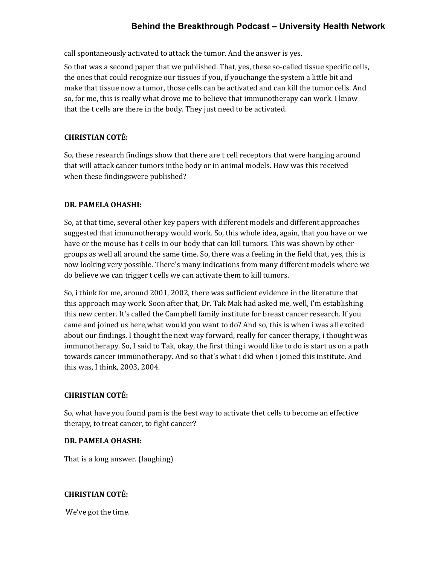call spontaneously activated to attack the tumor. And the answer is yes.

So that was a second paper that we published. That, yes, these so-called tissue specific cells, the ones that could recognize our tissues if you, if youchange the system a little bit and make that tissue now a tumor, those cells can be activated and can kill the tumor cells. And so, for me, this is really what drove me to believe that immunotherapy can work. I know that the t cells are there in the body. They just need to be activated.

# **CHRISTIAN COTÉ:**

So, these research findings show that there are t cell receptors that were hanging around that will attack cancer tumors inthe body or in animal models. How was this received when these findingswere published?

#### **DR. PAMELA OHASHI:**

So, at that time, several other key papers with different models and different approaches suggested that immunotherapy would work. So, this whole idea, again, that you have or we have or the mouse has t cells in our body that can kill tumors. This was shown by other groups as well all around the same time. So, there was a feeling in the field that, yes, this is now looking very possible. There's many indications from many different models where we do believe we can trigger t cells we can activate them to kill tumors.

So, i think for me, around 2001, 2002, there was sufficient evidence in the literature that this approach may work. Soon after that, Dr. Tak Mak had asked me, well, I'm establishing this new center. It's called the Campbell family institute for breast cancer research. If you came and joined us here,what would you want to do? And so, this is when i was all excited about our findings. I thought the next way forward, really for cancer therapy, i thought was immunotherapy. So, I said to Tak, okay, the first thing i would like to do is start us on a path towards cancer immunotherapy. And so that's what i did when i joined this institute. And this was, I think, 2003, 2004.

#### **CHRISTIAN COTÉ:**

So, what have you found pam is the best way to activate thet cells to become an effective therapy, to treat cancer, to fight cancer?

#### **DR. PAMELA OHASHI:**

That is a long answer. (laughing)

# **CHRISTIAN COTÉ:**

We've got the time.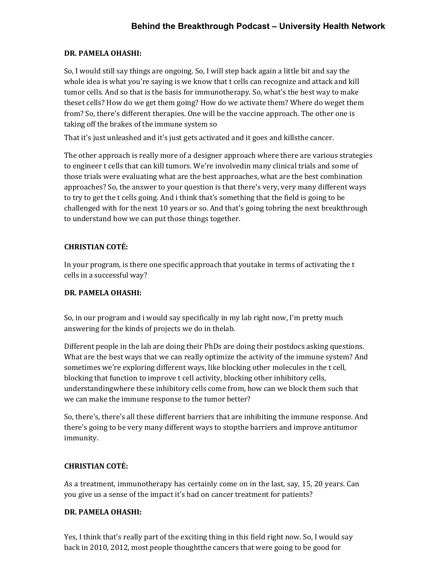## **DR. PAMELA OHASHI:**

So, I would still say things are ongoing. So, I will step back again a little bit and say the whole idea is what you're saying is we know that t cells can recognize and attack and kill tumor cells. And so that is the basis for immunotherapy. So, what's the best way to make theset cells? How do we get them going? How do we activate them? Where do weget them from? So, there's different therapies. One will be the vaccine approach. The other one is taking off the brakes of the immune system so

That it's just unleashed and it's just gets activated and it goes and kills the cancer.

The other approach is really more of a designer approach where there are various strategies to engineer t cells that can kill tumors. We're involvedin many clinical trials and some of those trials were evaluating what are the best approaches, what are the best combination approaches? So, the answer to your question is that there's very, very many different ways to try to get the t cells going. And i think that's something that the field is going to be challenged with for the next 10 years or so. And that's going tobring the next breakthrough to understand how we can put those things together.

# **CHRISTIAN COTÉ:**

In your program, is there one specific approach that youtake in terms of activating the t cells in a successful way?

#### **DR. PAMELA OHASHI:**

So, in our program and i would say specifically in my lab right now, I'm pretty much answering for the kinds of projects we do in thelab.

Different people in the lab are doing their PhDs are doing their postdocs asking questions. What are the best ways that we can really optimize the activity of the immune system? And sometimes we're exploring different ways, like blocking other molecules in the t cell, blocking that function to improve t cell activity, blocking other inhibitory cells, understandingwhere these inhibitory cells come from, how can we block them such that we can make the immune response to the tumor better?

So, there's, there's all these different barriers that are inhibiting the immune response. And there's going to be very many different ways to stopthe barriers and improve antitumor immunity.

#### **CHRISTIAN COTÉ:**

As a treatment, immunotherapy has certainly come on in the last, say, 15, 20 years. Can you give us a sense of the impact it's had on cancer treatment for patients?

#### **DR. PAMELA OHASHI:**

Yes, I think that's really part of the exciting thing in this field right now. So, I would say back in 2010, 2012, most people thoughtthe cancers that were going to be good for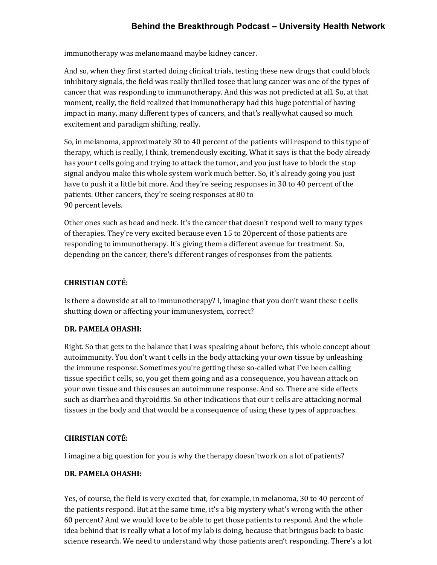immunotherapy was melanomaand maybe kidney cancer.

And so, when they first started doing clinical trials, testing these new drugs that could block inhibitory signals, the field was really thrilled tosee that lung cancer was one of the types of cancer that was responding to immunotherapy. And this was not predicted at all. So, at that moment, really, the field realized that immunotherapy had this huge potential of having impact in many, many different types of cancers, and that's reallywhat caused so much excitement and paradigm shifting, really.

So, in melanoma, approximately 30 to 40 percent of the patients will respond to this type of therapy, which is really, I think, tremendously exciting. What it says is that the body already has your t cells going and trying to attack the tumor, and you just have to block the stop signal andyou make this whole system work much better. So, it's already going you just have to push it a little bit more. And they're seeing responses in 30 to 40 percent of the patients. Other cancers, they're seeing responses at 80 to 90 percent levels.

Other ones such as head and neck. It's the cancer that doesn't respond well to many types of therapies. They're very excited because even 15 to 20percent of those patients are responding to immunotherapy. It's giving them a different avenue for treatment. So, depending on the cancer, there's different ranges of responses from the patients.

## **CHRISTIAN COTÉ:**

Is there a downside at all to immunotherapy? I, imagine that you don't want these t cells shutting down or affecting your immunesystem, correct?

#### **DR. PAMELA OHASHI:**

Right. So that gets to the balance that i was speaking about before, this whole concept about autoimmunity. You don't want t cells in the body attacking your own tissue by unleashing the immune response. Sometimes you're getting these so-called what I've been calling tissue specific t cells, so, you get them going and as a consequence, you havean attack on your own tissue and this causes an autoimmune response. And so. There are side effects such as diarrhea and thyroiditis. So other indications that our t cells are attacking normal tissues in the body and that would be a consequence of using these types of approaches.

#### **CHRISTIAN COTÉ:**

I imagine a big question for you is why the therapy doesn'twork on a lot of patients?

#### **DR. PAMELA OHASHI:**

Yes, of course, the field is very excited that, for example, in melanoma, 30 to 40 percent of the patients respond. But at the same time, it's a big mystery what's wrong with the other 60 percent? And we would love to be able to get those patients to respond. And the whole idea behind that is really what a lot of my lab is doing, because that bringsus back to basic science research. We need to understand why those patients aren't responding. There's a lot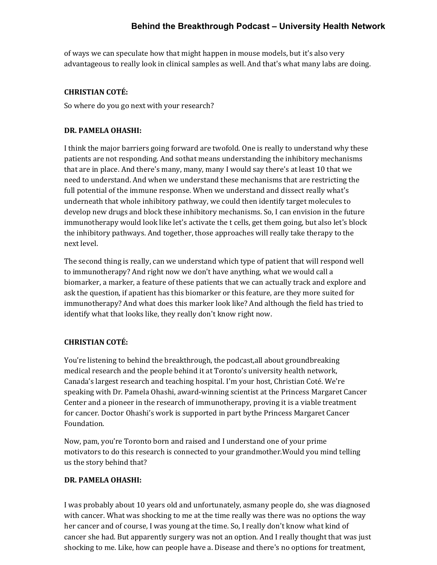of ways we can speculate how that might happen in mouse models, but it's also very advantageous to really look in clinical samples as well. And that's what many labs are doing.

## **CHRISTIAN COTÉ:**

So where do you go next with your research?

## **DR. PAMELA OHASHI:**

I think the major barriers going forward are twofold. One is really to understand why these patients are not responding. And sothat means understanding the inhibitory mechanisms that are in place. And there's many, many, many I would say there's at least 10 that we need to understand. And when we understand these mechanisms that are restricting the full potential of the immune response. When we understand and dissect really what's underneath that whole inhibitory pathway, we could then identify target molecules to develop new drugs and block these inhibitory mechanisms. So, I can envision in the future immunotherapy would look like let's activate the t cells, get them going, but also let's block the inhibitory pathways. And together, those approaches will really take therapy to the next level.

The second thing is really, can we understand which type of patient that will respond well to immunotherapy? And right now we don't have anything, what we would call a biomarker, a marker, a feature of these patients that we can actually track and explore and ask the question, if apatient has this biomarker or this feature, are they more suited for immunotherapy? And what does this marker look like? And although the field has tried to identify what that looks like, they really don't know right now.

# **CHRISTIAN COTÉ:**

You're listening to behind the breakthrough, the podcast,all about groundbreaking medical research and the people behind it at Toronto's university health network, Canada's largest research and teaching hospital. I'm your host, Christian Coté. We're speaking with Dr. Pamela Ohashi, award-winning scientist at the Princess Margaret Cancer Center and a pioneer in the research of immunotherapy, proving it is a viable treatment for cancer. Doctor Ohashi's work is supported in part by the Princess Margaret Cancer Foundation.

Now, pam, you're Toronto born and raised and I understand one of your prime motivators to do this research is connected to your grandmother.Would you mind telling us the story behind that?

#### **DR. PAMELA OHASHI:**

I was probably about 10 years old and unfortunately, asmany people do, she was diagnosed with cancer. What was shocking to me at the time really was there was no options the way her cancer and of course, I was young at the time. So, I really don't know what kind of cancer she had. But apparently surgery was not an option. And I really thought that was just shocking to me. Like, how can people have a. Disease and there's no options for treatment,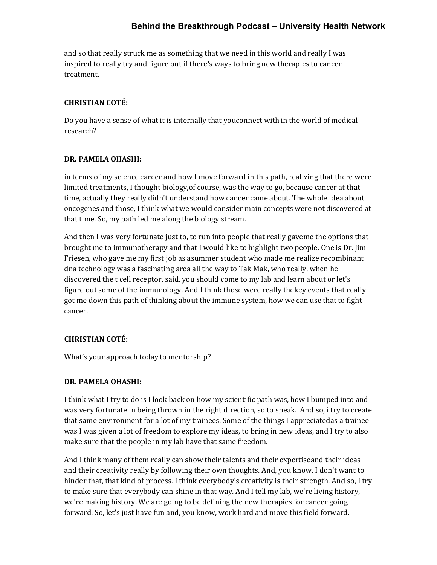and so that really struck me as something that we need in this world and really I was inspired to really try and figure out if there's ways to bring new therapies to cancer treatment.

## **CHRISTIAN COTÉ:**

Do you have a sense of what it is internally that youconnect with in the world of medical research?

## **DR. PAMELA OHASHI:**

in terms of my science career and how I move forward in this path, realizing that there were limited treatments, I thought biology,of course, was the way to go, because cancer at that time, actually they really didn't understand how cancer came about. The whole idea about oncogenes and those, I think what we would consider main concepts were not discovered at that time. So, my path led me along the biology stream.

And then I was very fortunate just to, to run into people that really gaveme the options that brought me to immunotherapy and that I would like to highlight two people. One is Dr. Jim Friesen, who gave me my first job as asummer student who made me realize recombinant dna technology was a fascinating area all the way to Tak Mak, who really, when he discovered the t cell receptor, said, you should come to my lab and learn about or let's figure out some of the immunology. And I think those were really thekey events that really got me down this path of thinking about the immune system, how we can use that to fight cancer.

# **CHRISTIAN COTÉ:**

What's your approach today to mentorship?

#### **DR. PAMELA OHASHI:**

I think what I try to do is I look back on how my scientific path was, how I bumped into and was very fortunate in being thrown in the right direction, so to speak. And so, i try to create that same environment for a lot of my trainees. Some of the things I appreciatedas a trainee was I was given a lot of freedom to explore my ideas, to bring in new ideas, and I try to also make sure that the people in my lab have that same freedom.

And I think many of them really can show their talents and their expertiseand their ideas and their creativity really by following their own thoughts. And, you know, I don't want to hinder that, that kind of process. I think everybody's creativity is their strength. And so, I try to make sure that everybody can shine in that way. And I tell my lab, we're living history, we're making history. We are going to be defining the new therapies for cancer going forward. So, let's just have fun and, you know, work hard and move this field forward.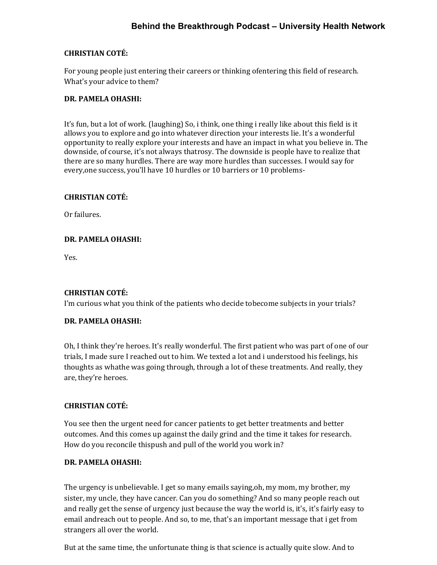## **CHRISTIAN COTÉ:**

For young people just entering their careers or thinking ofentering this field of research. What's your advice to them?

### **DR. PAMELA OHASHI:**

It's fun, but a lot of work. (laughing) So, i think, one thing i really like about this field is it allows you to explore and go into whatever direction your interests lie. It's a wonderful opportunity to really explore your interests and have an impact in what you believe in. The downside, of course, it's not always thatrosy. The downside is people have to realize that there are so many hurdles. There are way more hurdles than successes. I would say for every,one success, you'll have 10 hurdles or 10 barriers or 10 problems-

## **CHRISTIAN COTÉ:**

Or failures.

## **DR. PAMELA OHASHI:**

Yes.

# **CHRISTIAN COTÉ:**

I'm curious what you think of the patients who decide tobecome subjects in your trials?

# **DR. PAMELA OHASHI:**

Oh, I think they're heroes. It's really wonderful. The first patient who was part of one of our trials, I made sure I reached out to him. We texted a lot and i understood his feelings, his thoughts as whathe was going through, through a lot of these treatments. And really, they are, they're heroes.

# **CHRISTIAN COTÉ:**

You see then the urgent need for cancer patients to get better treatments and better outcomes. And this comes up against the daily grind and the time it takes for research. How do you reconcile this push and pull of the world you work in?

#### **DR. PAMELA OHASHI:**

The urgency is unbelievable. I get so many emails saying,oh, my mom, my brother, my sister, my uncle, they have cancer. Can you do something? And so many people reach out and really get the sense of urgency just because the way the world is, it's, it's fairly easy to email andreach out to people. And so, to me, that's an important message that i get from strangers all over the world.

But at the same time, the unfortunate thing is that science is actually quite slow. And to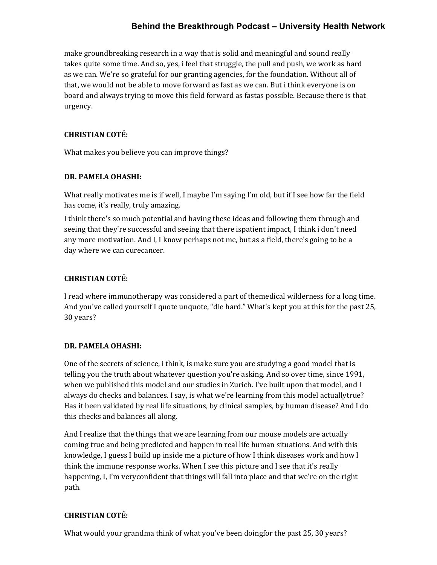make groundbreaking research in a way that is solid and meaningful and sound really takes quite some time. And so, yes, i feel that struggle, the pull and push, we work as hard as we can. We're so grateful for our granting agencies, for the foundation. Without all of that, we would not be able to move forward as fast as we can. But i think everyone is on board and always trying to move this field forward as fastas possible. Because there is that urgency.

#### **CHRISTIAN COTÉ:**

What makes you believe you can improve things?

# **DR. PAMELA OHASHI:**

What really motivates me is if well, I maybe I'm saying I'm old, but if I see how far the field has come, it's really, truly amazing.

I think there's so much potential and having these ideas and following them through and seeing that they're successful and seeing that there ispatient impact, I think i don't need any more motivation. And I, I know perhaps not me, but as a field, there's going to be a day where we can curecancer.

# **CHRISTIAN COTÉ:**

I read where immunotherapy was considered a part of themedical wilderness for a long time. And you've called yourself I quote unquote, "die hard." What's kept you at this for the past 25, 30 years?

# **DR. PAMELA OHASHI:**

One of the secrets of science, i think, is make sure you are studying a good model that is telling you the truth about whatever question you're asking. And so over time, since 1991, when we published this model and our studies in Zurich. I've built upon that model, and I always do checks and balances. I say, is what we're learning from this model actually true? Has it been validated by real life situations, by clinical samples, by human disease? And I do this checks and balances all along.

And I realize that the things that we are learning from our mouse models are actually coming true and being predicted and happen in real life human situations. And with this knowledge, I guess I build up inside me a picture of how I think diseases work and how I think the immune response works. When I see this picture and I see that it's really happening, I, I'm veryconfident that things will fall into place and that we're on the right path.

# **CHRISTIAN COTÉ:**

What would your grandma think of what you've been doingfor the past 25, 30 years?